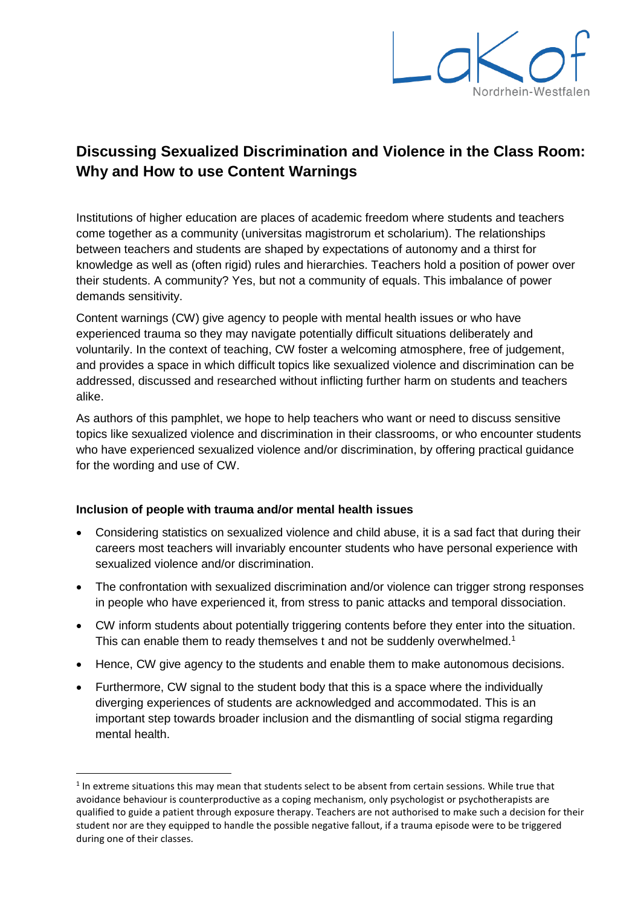

# **Discussing Sexualized Discrimination and Violence in the Class Room: Why and How to use Content Warnings**

Institutions of higher education are places of academic freedom where students and teachers come together as a community (universitas magistrorum et scholarium). The relationships between teachers and students are shaped by expectations of autonomy and a thirst for knowledge as well as (often rigid) rules and hierarchies. Teachers hold a position of power over their students. A community? Yes, but not a community of equals. This imbalance of power demands sensitivity.

Content warnings (CW) give agency to people with mental health issues or who have experienced trauma so they may navigate potentially difficult situations deliberately and voluntarily. In the context of teaching, CW foster a welcoming atmosphere, free of judgement, and provides a space in which difficult topics like sexualized violence and discrimination can be addressed, discussed and researched without inflicting further harm on students and teachers alike.

As authors of this pamphlet, we hope to help teachers who want or need to discuss sensitive topics like sexualized violence and discrimination in their classrooms, or who encounter students who have experienced sexualized violence and/or discrimination, by offering practical guidance for the wording and use of CW.

### **Inclusion of people with trauma and/or mental health issues**

**.** 

- Considering statistics on sexualized violence and child abuse, it is a sad fact that during their careers most teachers will invariably encounter students who have personal experience with sexualized violence and/or discrimination.
- The confrontation with sexualized discrimination and/or violence can trigger strong responses in people who have experienced it, from stress to panic attacks and temporal dissociation.
- CW inform students about potentially triggering contents before they enter into the situation. This can enable them to ready themselves t and not be suddenly overwhelmed.<sup>1</sup>
- Hence, CW give agency to the students and enable them to make autonomous decisions.
- Furthermore, CW signal to the student body that this is a space where the individually diverging experiences of students are acknowledged and accommodated. This is an important step towards broader inclusion and the dismantling of social stigma regarding mental health.

 $<sup>1</sup>$  In extreme situations this may mean that students select to be absent from certain sessions. While true that</sup> avoidance behaviour is counterproductive as a coping mechanism, only psychologist or psychotherapists are qualified to guide a patient through exposure therapy. Teachers are not authorised to make such a decision for their student nor are they equipped to handle the possible negative fallout, if a trauma episode were to be triggered during one of their classes.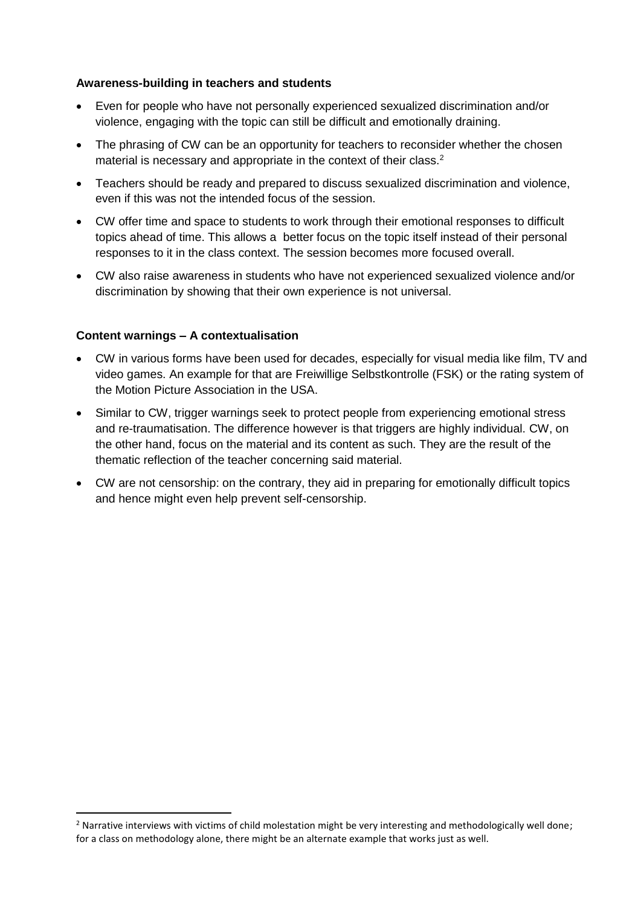#### **Awareness-building in teachers and students**

- Even for people who have not personally experienced sexualized discrimination and/or violence, engaging with the topic can still be difficult and emotionally draining.
- The phrasing of CW can be an opportunity for teachers to reconsider whether the chosen material is necessary and appropriate in the context of their class.<sup>2</sup>
- Teachers should be ready and prepared to discuss sexualized discrimination and violence, even if this was not the intended focus of the session.
- CW offer time and space to students to work through their emotional responses to difficult topics ahead of time. This allows a better focus on the topic itself instead of their personal responses to it in the class context. The session becomes more focused overall.
- CW also raise awareness in students who have not experienced sexualized violence and/or discrimination by showing that their own experience is not universal.

### **Content warnings – A contextualisation**

1

- CW in various forms have been used for decades, especially for visual media like film, TV and video games. An example for that are Freiwillige Selbstkontrolle (FSK) or the rating system of the Motion Picture Association in the USA.
- Similar to CW, trigger warnings seek to protect people from experiencing emotional stress and re-traumatisation. The difference however is that triggers are highly individual. CW, on the other hand, focus on the material and its content as such. They are the result of the thematic reflection of the teacher concerning said material.
- CW are not censorship: on the contrary, they aid in preparing for emotionally difficult topics and hence might even help prevent self-censorship.

<sup>&</sup>lt;sup>2</sup> Narrative interviews with victims of child molestation might be very interesting and methodologically well done; for a class on methodology alone, there might be an alternate example that works just as well.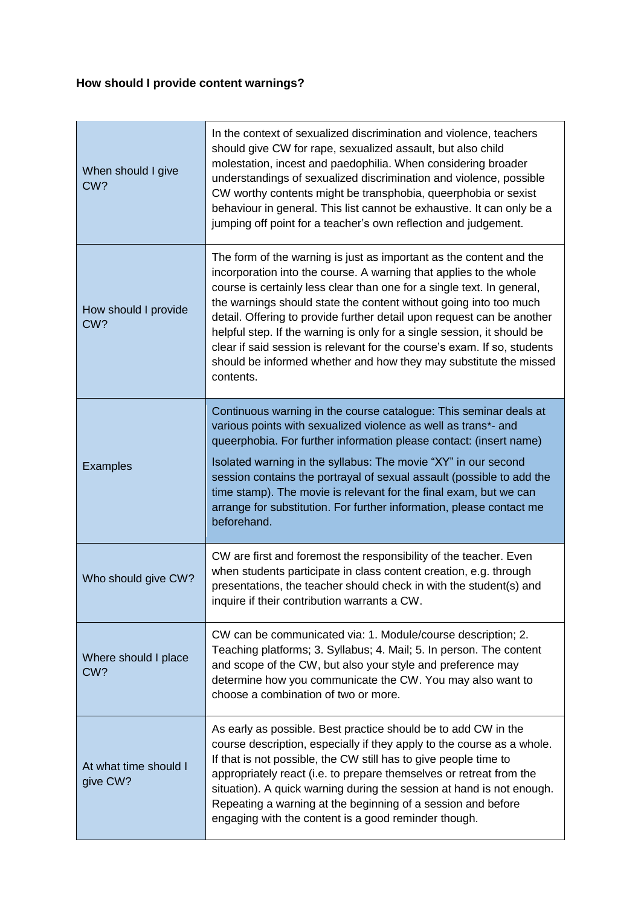# **How should I provide content warnings?**

| When should I give<br>CW?         | In the context of sexualized discrimination and violence, teachers<br>should give CW for rape, sexualized assault, but also child<br>molestation, incest and paedophilia. When considering broader<br>understandings of sexualized discrimination and violence, possible<br>CW worthy contents might be transphobia, queerphobia or sexist<br>behaviour in general. This list cannot be exhaustive. It can only be a<br>jumping off point for a teacher's own reflection and judgement.                                                                                                                     |
|-----------------------------------|-------------------------------------------------------------------------------------------------------------------------------------------------------------------------------------------------------------------------------------------------------------------------------------------------------------------------------------------------------------------------------------------------------------------------------------------------------------------------------------------------------------------------------------------------------------------------------------------------------------|
| How should I provide<br>CW?       | The form of the warning is just as important as the content and the<br>incorporation into the course. A warning that applies to the whole<br>course is certainly less clear than one for a single text. In general,<br>the warnings should state the content without going into too much<br>detail. Offering to provide further detail upon request can be another<br>helpful step. If the warning is only for a single session, it should be<br>clear if said session is relevant for the course's exam. If so, students<br>should be informed whether and how they may substitute the missed<br>contents. |
| <b>Examples</b>                   | Continuous warning in the course catalogue: This seminar deals at<br>various points with sexualized violence as well as trans*- and<br>queerphobia. For further information please contact: (insert name)<br>Isolated warning in the syllabus: The movie "XY" in our second<br>session contains the portrayal of sexual assault (possible to add the<br>time stamp). The movie is relevant for the final exam, but we can<br>arrange for substitution. For further information, please contact me<br>beforehand.                                                                                            |
| Who should give CW?               | CW are first and foremost the responsibility of the teacher. Even<br>when students participate in class content creation, e.g. through<br>presentations, the teacher should check in with the student(s) and<br>inquire if their contribution warrants a CW.                                                                                                                                                                                                                                                                                                                                                |
| Where should I place<br>CW?       | CW can be communicated via: 1. Module/course description; 2.<br>Teaching platforms; 3. Syllabus; 4. Mail; 5. In person. The content<br>and scope of the CW, but also your style and preference may<br>determine how you communicate the CW. You may also want to<br>choose a combination of two or more.                                                                                                                                                                                                                                                                                                    |
| At what time should I<br>give CW? | As early as possible. Best practice should be to add CW in the<br>course description, especially if they apply to the course as a whole.<br>If that is not possible, the CW still has to give people time to<br>appropriately react (i.e. to prepare themselves or retreat from the<br>situation). A quick warning during the session at hand is not enough.<br>Repeating a warning at the beginning of a session and before<br>engaging with the content is a good reminder though.                                                                                                                        |